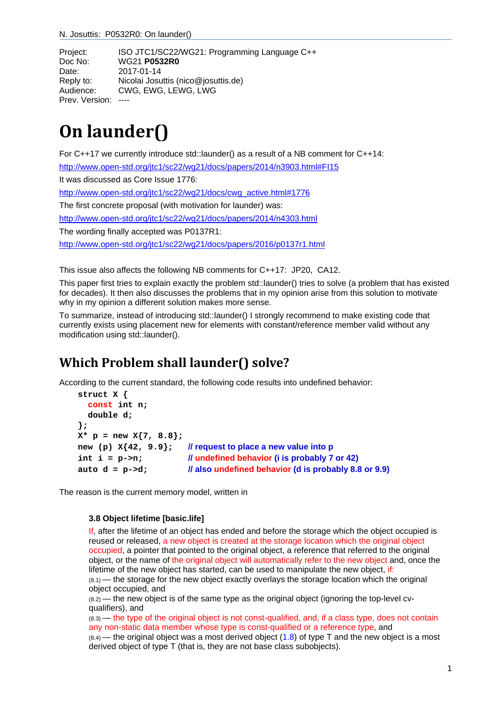N. Josuttis: P0532R0: On launder()

Project: ISO JTC1/SC22/WG21: Programming Language C++ Doc No: WG21 **P0532R0** Date: 2017-01-14 Reply to: Nicolai Josuttis (nico@josuttis.de) Audience: CWG, EWG, LEWG, LWG Prev. Version: ----

# **On launder()**

For C++17 we currently introduce std::launder() as a result of a NB comment for C++14: http://www.open-std.org/jtc1/sc22/wg21/docs/papers/2014/n3903.html#FI15 It was discussed as Core Issue 1776: http://www.open-std.org/jtc1/sc22/wg21/docs/cwg\_active.html#1776 The first concrete proposal (with motivation for launder) was: http://www.open-std.org/jtc1/sc22/wg21/docs/papers/2014/n4303.html The wording finally accepted was P0137R1: http://www.open-std.org/jtc1/sc22/wg21/docs/papers/2016/p0137r1.html

This issue also affects the following NB comments for C++17: JP20, CA12.

This paper first tries to explain exactly the problem std::launder() tries to solve (a problem that has existed for decades). It then also discusses the problems that in my opinion arise from this solution to motivate why in my opinion a different solution makes more sense.

To summarize, instead of introducing std::launder() I strongly recommend to make existing code that currently exists using placement new for elements with constant/reference member valid without any modification using std::launder().

# **Which Problem shall launder() solve?**

According to the current standard, the following code results into undefined behavior:

```
struct X {
   const int n; 
   double d; 
};
X* p = new X{7, 8.8};
new (p) X{42, 9.9}; // request to place a new value into p
int i = p->n; // undefined behavior (i is probably 7 or 42) 
auto d = p->d; // also undefined behavior (d is probably 8.8 or 9.9)
```
The reason is the current memory model, written in

#### **3.8 Object lifetime [basic.life]**

If, after the lifetime of an object has ended and before the storage which the object occupied is reused or released, a new object is created at the storage location which the original object occupied, a pointer that pointed to the original object, a reference that referred to the original object, or the name of the original object will automatically refer to the new object and, once the lifetime of the new object has started, can be used to manipulate the new object, if:  $(8.1)$  — the storage for the new object exactly overlays the storage location which the original object occupied, and

 $(8.2)$  — the new object is of the same type as the original object (ignoring the top-level cvqualifiers), and

(8.3) — the type of the original object is not const-qualified, and, if a class type, does not contain any non-static data member whose type is const-qualified or a reference type, and  $(8.4)$  — the original object was a most derived object (1.8) of type T and the new object is a most derived object of type T (that is, they are not base class subobjects).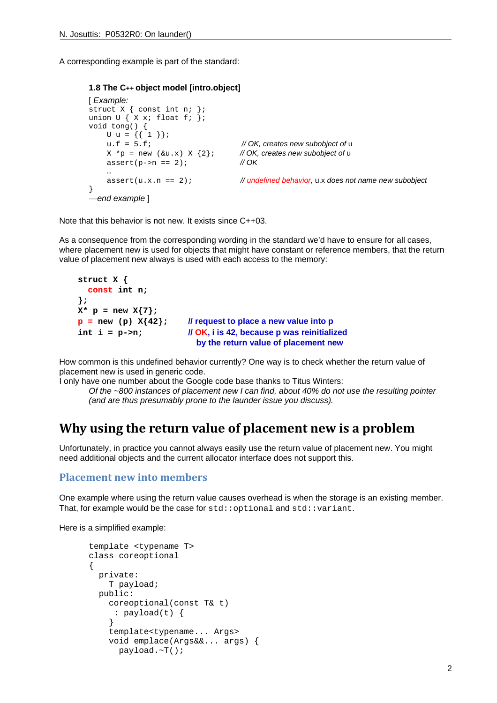A corresponding example is part of the standard:

```
1.8 The C++ object model [intro.object]
```

```
[ Example: 
struct X { const int n; }; 
union U \{ X x; float f; \};
void tong() { 
 U u = {{ 1 }}; 
    u.f = 5.f; <br> X *_{\mathcal{D}} = new (\&u.x) X \{2\}; // OK, creates new subobject of u
    X * p = new (&u.x) X {2}; assert(p->n == 2); // OK 
 …
     assert(u.x.n == 2); // undefined behavior, u.x does not name new subobject 
} 
  —end example ]
```
Note that this behavior is not new. It exists since C++03.

As a consequence from the corresponding wording in the standard we'd have to ensure for all cases, where placement new is used for objects that might have constant or reference members, that the return value of placement new always is used with each access to the memory:

```
struct X {
   const int n; 
};
X^* p = new X\{7\};
\mathbf{p} = new (p) \mathbf{x}{42}; // request to place a new value into p
int i = p->n; // OK, i is 42, because p was reinitialized 
                              by the return value of placement new
```
How common is this undefined behavior currently? One way is to check whether the return value of placement new is used in generic code.

I only have one number about the Google code base thanks to Titus Winters: *Of the ~800 instances of placement new I can find, about 40% do not use the resulting pointer (and are thus presumably prone to the launder issue you discuss).* 

#### **Why using the return value of placement new is a problem**

Unfortunately, in practice you cannot always easily use the return value of placement new. You might need additional objects and the current allocator interface does not support this.

#### **Placement new into members**

One example where using the return value causes overhead is when the storage is an existing member. That, for example would be the case for  $std: :$ optional and  $std: :$ variant.

Here is a simplified example:

```
template <typename T> 
class coreoptional 
{ 
   private: 
     T payload; 
   public: 
     coreoptional(const T& t) 
       : payload(t) { 
     } 
     template<typename... Args> 
     void emplace(Args&&... args) { 
       payload.~T();
```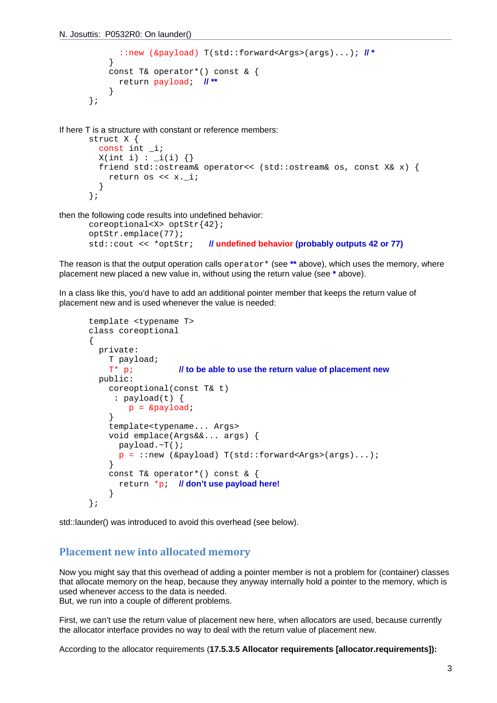```
 ::new (&payload) T(std::forward<Args>(args)...); // *
     } 
     const T& operator*() const & { 
       return payload; // ** 
     } 
};
```
If here T is a structure with constant or reference members:

```
struct X { 
   const int _i; 
  X(int i) : _i(i) {} {\} friend std::ostream& operator<< (std::ostream& os, const X& x) { 
     return os << x._i; 
   } 
};
```
then the following code results into undefined behavior:

```
coreoptional<X> optStr{42}; 
optStr.emplace(77); 
std::cout << *optStr; // undefined behavior (probably outputs 42 or 77)
```
The reason is that the output operation calls operator\* (see \*\* above), which uses the memory, where placement new placed a new value in, without using the return value (see **\*** above).

In a class like this, you'd have to add an additional pointer member that keeps the return value of placement new and is used whenever the value is needed:

```
template <typename T> 
class coreoptional 
{ 
   private: 
     T payload; 
     T* p; // to be able to use the return value of placement new
   public: 
     coreoptional(const T& t) 
      : payload(t) { 
        p = &payload;
     } 
     template<typename... Args> 
     void emplace(Args&&... args) { 
       payload.~T(); 
      p = :new (&payload) T(std::forward<Arqs>(arqs)...);
     } 
     const T& operator*() const & { 
       return *p; // don't use payload here!
     } 
};
```
std::launder() was introduced to avoid this overhead (see below).

#### **Placement new into allocated memory**

Now you might say that this overhead of adding a pointer member is not a problem for (container) classes that allocate memory on the heap, because they anyway internally hold a pointer to the memory, which is used whenever access to the data is needed.

But, we run into a couple of different problems.

First, we can't use the return value of placement new here, when allocators are used, because currently the allocator interface provides no way to deal with the return value of placement new.

According to the allocator requirements (**17.5.3.5 Allocator requirements [allocator.requirements]):**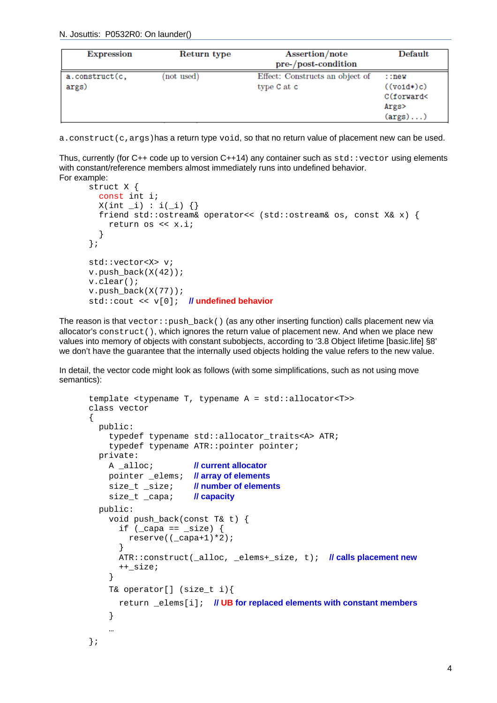N. Josuttis: P0532R0: On launder()

| <b>Expression</b>       | Return type | Assertion/note<br>pre-/post-condition          | Default                                                               |
|-------------------------|-------------|------------------------------------------------|-----------------------------------------------------------------------|
| a.construct(c,<br>args) | not used)   | Effect: Constructs an object of<br>type C at c | : new<br>$((void*)c)$<br>C(forward<<br>Args><br>$(\text{args}) \dots$ |

a.construct(c,args)has a return type void, so that no return value of placement new can be used.

Thus, currently (for C++ code up to version C++14) any container such as  $std:vector$  using elements with constant/reference members almost immediately runs into undefined behavior. For example:

```
struct X { 
   const int i; 
  X(int_i) : i(i) {\in} }friend std::ostream& operator<< (std::ostream& os, const X& x) {
     return os << x.i; 
   } 
}; 
std::vector<X> v; 
v.push back(X(42));
v.clear(); 
v.push_back(X(77));
std::cout << v[0]; // undefined behavior
```
The reason is that  $vector:$  push  $back()$  (as any other inserting function) calls placement new via allocator's construct(), which ignores the return value of placement new. And when we place new values into memory of objects with constant subobjects, according to '3.8 Object lifetime [basic.life] §8' we don't have the guarantee that the internally used objects holding the value refers to the new value.

In detail, the vector code might look as follows (with some simplifications, such as not using move semantics):

```
template <typename T, typename A = std::allocator<T>> 
class vector 
{ 
   public: 
     typedef typename std::allocator_traits<A> ATR; 
    typedef typename ATR:: pointer pointer;
   private: 
     A _alloc; // current allocator
     pointer _elems; // array of elements
    size t size; // number of elements
     size_t _capa; // capacity
   public: 
     void push_back(const T& t) { 
      if (capa == size) {
         reserve((_capa+1)*2); 
 } 
       ATR::construct(_alloc, _elems+_size, t); // calls placement new
       ++_size; 
     } 
     T& operator[] (size_t i){ 
       return _elems[i]; // UB for replaced elements with constant members
     } 
 … 
};
```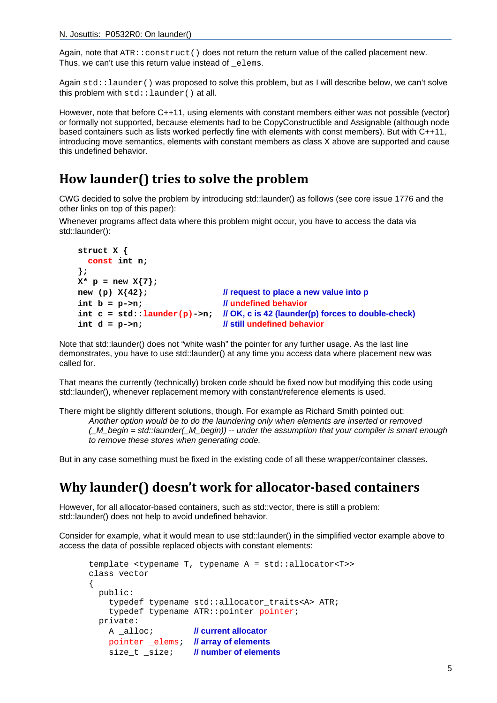Again, note that ATR::construct() does not return the return value of the called placement new. Thus, we can't use this return value instead of elems.

Again std::launder() was proposed to solve this problem, but as I will describe below, we can't solve this problem with std::launder() at all.

However, note that before C++11, using elements with constant members either was not possible (vector) or formally not supported, because elements had to be CopyConstructible and Assignable (although node based containers such as lists worked perfectly fine with elements with const members). But with C++11, introducing move semantics, elements with constant members as class X above are supported and cause this undefined behavior.

### **How launder() tries to solve the problem**

CWG decided to solve the problem by introducing std::launder() as follows (see core issue 1776 and the other links on top of this paper):

Whenever programs affect data where this problem might occur, you have to access the data via std::launder():

```
struct X {
  const int n; 
};
X^* p = new X\{7\};
new (p) X{42}; // request to place a new value into p
int b = p->n; // undefined behavior
int c = std::launder(p)->n; // OK, c is 42 (launder(p) forces to double-check) 
int d = p->n; // still undefined behavior
```
Note that std::launder() does not "white wash" the pointer for any further usage. As the last line demonstrates, you have to use std::launder() at any time you access data where placement new was called for.

That means the currently (technically) broken code should be fixed now but modifying this code using std::launder(), whenever replacement memory with constant/reference elements is used.

There might be slightly different solutions, though. For example as Richard Smith pointed out: *Another option would be to do the laundering only when elements are inserted or removed (\_M\_begin = std::launder(\_M\_begin)) -- under the assumption that your compiler is smart enough to remove these stores when generating code.* 

But in any case something must be fixed in the existing code of all these wrapper/container classes.

## **Why launder() doesn't work for allocator‐based containers**

However, for all allocator-based containers, such as std::vector, there is still a problem: std::launder() does not help to avoid undefined behavior.

Consider for example, what it would mean to use std::launder() in the simplified vector example above to access the data of possible replaced objects with constant elements:

```
template <typename T, typename A = std::allocator<T>> 
class vector 
{ 
   public: 
    typedef typename std::allocator traits<A> ATR;
     typedef typename ATR::pointer pointer; 
   private: 
     A _alloc; // current allocator
     pointer _elems; // array of elements
     size_t _size; // number of elements
```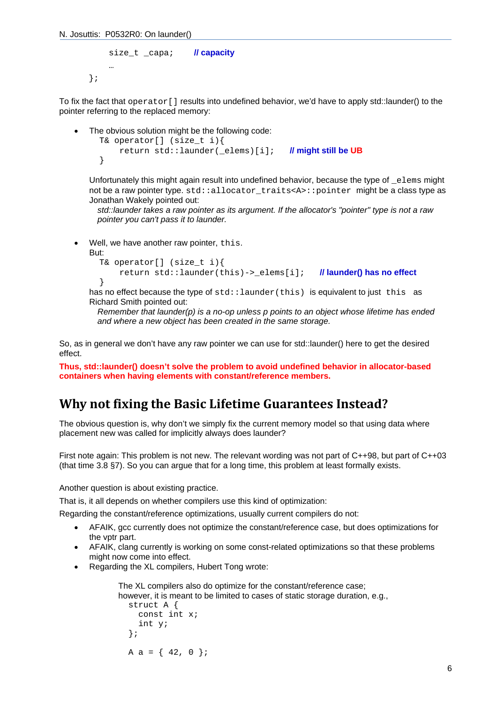N. Josuttis: P0532R0: On launder()

```
size t capa; // capacity
     … 
};
```
To fix the fact that operator[] results into undefined behavior, we'd have to apply std::launder() to the pointer referring to the replaced memory:

```
 The obvious solution might be the following code: 
   T& operator[] (size_t i){ 
        return std::launder(_elems)[i]; // might still be UB
   }
```
Unfortunately this might again result into undefined behavior, because the type of  $e$ lems might not be a raw pointer type. std::allocator\_traits<A>::pointer\_might be a class type as Jonathan Wakely pointed out:

*std::launder takes a raw pointer as its argument. If the allocator's "pointer" type is not a raw pointer you can't pass it to launder.* 

Well, we have another raw pointer, this.

But:

```
 T& operator[] (size_t i){ 
     return std::launder(this)->_elems[i]; // launder() has no effect
 }
```
has no effect because the type of  $std:$ : launder (this) is equivalent to just this as Richard Smith pointed out:

*Remember that launder(p) is a no-op unless p points to an object whose lifetime has ended and where a new object has been created in the same storage.* 

So, as in general we don't have any raw pointer we can use for std::launder() here to get the desired effect.

**Thus, std::launder() doesn't solve the problem to avoid undefined behavior in allocator-based containers when having elements with constant/reference members.** 

### **Why not fixing the Basic Lifetime Guarantees Instead?**

The obvious question is, why don't we simply fix the current memory model so that using data where placement new was called for implicitly always does launder?

First note again: This problem is not new. The relevant wording was not part of C++98, but part of C++03 (that time 3.8 §7). So you can argue that for a long time, this problem at least formally exists.

Another question is about existing practice.

That is, it all depends on whether compilers use this kind of optimization:

Regarding the constant/reference optimizations, usually current compilers do not:

- AFAIK, gcc currently does not optimize the constant/reference case, but does optimizations for the vptr part.
- AFAIK, clang currently is working on some const-related optimizations so that these problems might now come into effect.
- Regarding the XL compilers, Hubert Tong wrote:

```
The XL compilers also do optimize for the constant/reference case; 
however, it is meant to be limited to cases of static storage duration, e.g., 
   struct A { 
      const int x; 
      int y; 
   }; 
  A a = \{42, 0\};
```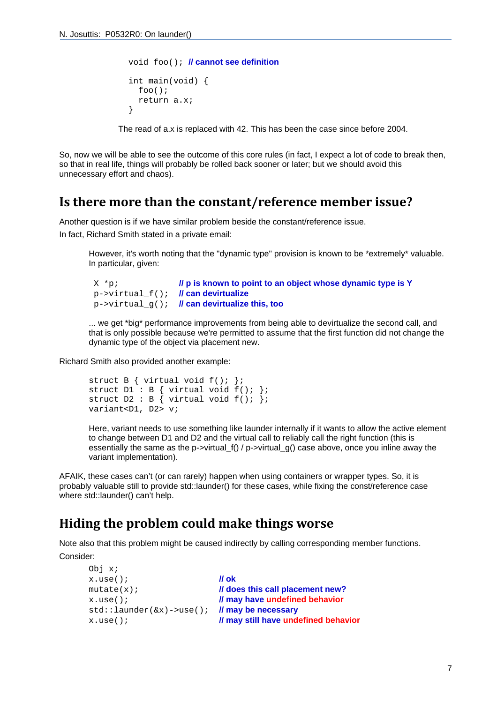```
 void foo(); // cannot see definition
 int main(void) { 
   foo(); 
   return a.x; 
 }
```
The read of a.x is replaced with 42. This has been the case since before 2004.

So, now we will be able to see the outcome of this core rules (in fact, I expect a lot of code to break then, so that in real life, things will probably be rolled back sooner or later; but we should avoid this unnecessary effort and chaos).

#### **Is there more than the constant/reference member issue?**

Another question is if we have similar problem beside the constant/reference issue.

In fact, Richard Smith stated in a private email:

However, it's worth noting that the "dynamic type" provision is known to be \*extremely\* valuable. In particular, given:

```
 X *p; // p is known to point to an object whose dynamic type is Y
 p->virtual_f(); // can devirtualize
 p->virtual_g(); // can devirtualize this, too
```
... we get \*big\* performance improvements from being able to devirtualize the second call, and that is only possible because we're permitted to assume that the first function did not change the dynamic type of the object via placement new.

Richard Smith also provided another example:

```
struct B { virtual void f(); };
struct DI : B { virtual void f(); };
struct D2 : B \{ virtual void f() \};
variant<D1, D2> v;
```
Here, variant needs to use something like launder internally if it wants to allow the active element to change between D1 and D2 and the virtual call to reliably call the right function (this is essentially the same as the p->virtual  $f() / p$ ->virtual  $q()$  case above, once you inline away the variant implementation).

AFAIK, these cases can't (or can rarely) happen when using containers or wrapper types. So, it is probably valuable still to provide std::launder() for these cases, while fixing the const/reference case where std::launder() can't help.

### **Hiding the problem could make things worse**

Note also that this problem might be caused indirectly by calling corresponding member functions. Consider:

```
Obj x; 
x.use(); // ok 
mutate(x); // does this call placement new?
x.use(); // may have undefined behavior
std::launder(&x)->use(); // may be necessary 
x.use(); // may still have undefined behavior
```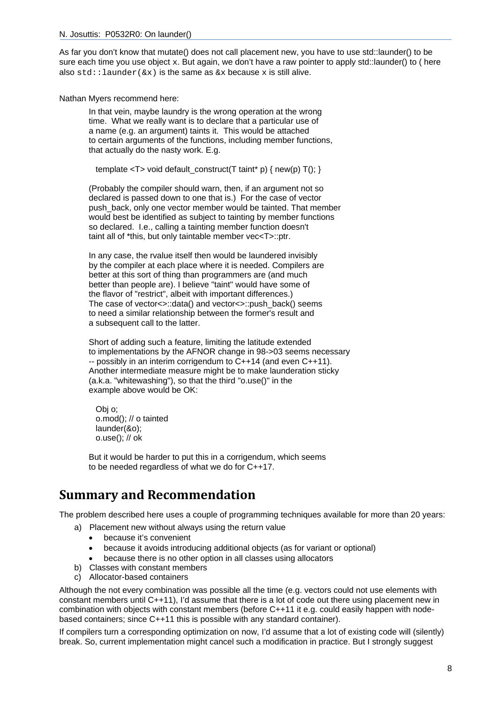As far you don't know that mutate() does not call placement new, you have to use std::launder() to be sure each time you use object x. But again, we don't have a raw pointer to apply std::launder() to ( here also  $std::laurder(\&x)$  is the same as  $&x$  because x is still alive.

Nathan Myers recommend here:

In that vein, maybe laundry is the wrong operation at the wrong time. What we really want is to declare that a particular use of a name (e.g. an argument) taints it. This would be attached to certain arguments of the functions, including member functions, that actually do the nasty work. E.g.

template  $<\mathsf{T}>$  void default\_construct(T taint\* p) { new(p) T(); }

(Probably the compiler should warn, then, if an argument not so declared is passed down to one that is.) For the case of vector push back, only one vector member would be tainted. That member would best be identified as subject to tainting by member functions so declared. I.e., calling a tainting member function doesn't taint all of \*this, but only taintable member vec<T>::ptr.

In any case, the rvalue itself then would be laundered invisibly by the compiler at each place where it is needed. Compilers are better at this sort of thing than programmers are (and much better than people are). I believe "taint" would have some of the flavor of "restrict", albeit with important differences.) The case of vector<>::data() and vector<>::push\_back() seems to need a similar relationship between the former's result and a subsequent call to the latter.

Short of adding such a feature, limiting the latitude extended to implementations by the AFNOR change in 98->03 seems necessary -- possibly in an interim corrigendum to C++14 (and even C++11). Another intermediate measure might be to make launderation sticky (a.k.a. "whitewashing"), so that the third "o.use()" in the example above would be OK:

 Obj o; o.mod(); // o tainted launder(&o); o.use(); // ok

But it would be harder to put this in a corrigendum, which seems to be needed regardless of what we do for C++17.

## **Summary and Recommendation**

The problem described here uses a couple of programming techniques available for more than 20 years:

a) Placement new without always using the return value

- because it's convenient
- because it avoids introducing additional objects (as for variant or optional)
- because there is no other option in all classes using allocators
- b) Classes with constant members
- c) Allocator-based containers

Although the not every combination was possible all the time (e.g. vectors could not use elements with constant members until C++11), I'd assume that there is a lot of code out there using placement new in combination with objects with constant members (before C++11 it e.g. could easily happen with nodebased containers; since C++11 this is possible with any standard container).

If compilers turn a corresponding optimization on now, I'd assume that a lot of existing code will (silently) break. So, current implementation might cancel such a modification in practice. But I strongly suggest